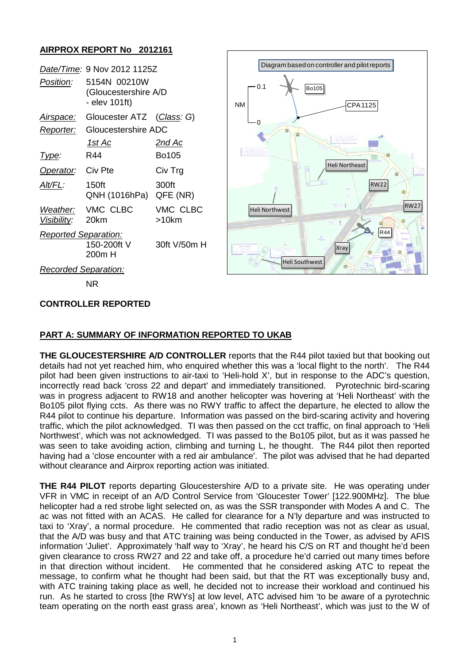# **AIRPROX REPORT No 2012161**

|                             | Date/Time: 9 Nov 2012 1125Z                              |                      |                     | Diagram based on controller and pilot reports |                       |             |                  |
|-----------------------------|----------------------------------------------------------|----------------------|---------------------|-----------------------------------------------|-----------------------|-------------|------------------|
| Position:                   | 5154N 00210W<br>(Gloucestershire A/D<br>- elev $101ft$ ) |                      | $-0.1$<br><b>NM</b> | <b>Bo105</b>                                  |                       | CPA 1125    |                  |
| Airspace:                   | Gloucester ATZ                                           | (Class: G)           |                     |                                               |                       |             |                  |
| Reporter:                   | Gloucestershire ADC                                      |                      |                     |                                               |                       |             |                  |
|                             | <u>1st Ac</u>                                            | <u>2nd Ac</u>        |                     |                                               |                       |             |                  |
| Type:                       | R44                                                      | Bo105                | <b>THE THEFT</b>    |                                               |                       |             |                  |
| Operator:                   | Civ Pte                                                  | Civ Trg              |                     |                                               | <b>Heli Northeast</b> |             |                  |
| Alt/FL:                     | 150 <sub>ft</sub><br>QNH (1016hPa)                       | 300ft<br>QFE (NR)    |                     |                                               |                       | <b>RW22</b> |                  |
| Weather:<br>Visibility:     | VMC CLBC<br>20km                                         | VMC CLBC<br>$>10$ km |                     | Heli Northwest                                |                       |             | RW <sub>27</sub> |
| <b>Reported Separation:</b> |                                                          |                      |                     |                                               | $Q_{\text{max}}$      | <b>R44</b>  |                  |
|                             | 150-200ft V<br>200m H                                    | 30ft V/50m H         | <b>ICESTERSHIRE</b> |                                               | <b>Xray</b>           |             |                  |
|                             | Recorded Separation:                                     |                      | Heli Southwest      |                                               |                       |             |                  |
|                             | <b>NR</b>                                                |                      |                     |                                               |                       |             |                  |

### **CONTROLLER REPORTED**

### **PART A: SUMMARY OF INFORMATION REPORTED TO UKAB**

**THE GLOUCESTERSHIRE A/D CONTROLLER** reports that the R44 pilot taxied but that booking out details had not yet reached him, who enquired whether this was a 'local flight to the north'. The R44 pilot had been given instructions to air-taxi to 'Heli-hold X', but in response to the ADC's question, incorrectly read back 'cross 22 and depart' and immediately transitioned. Pyrotechnic bird-scaring was in progress adjacent to RW18 and another helicopter was hovering at 'Heli Northeast' with the Bo105 pilot flying ccts. As there was no RWY traffic to affect the departure, he elected to allow the R44 pilot to continue his departure. Information was passed on the bird-scaring activity and hovering traffic, which the pilot acknowledged. TI was then passed on the cct traffic, on final approach to 'Heli Northwest', which was not acknowledged. TI was passed to the Bo105 pilot, but as it was passed he was seen to take avoiding action, climbing and turning L, he thought. The R44 pilot then reported having had a 'close encounter with a red air ambulance'. The pilot was advised that he had departed without clearance and Airprox reporting action was initiated.

**THE R44 PILOT** reports departing Gloucestershire A/D to a private site. He was operating under VFR in VMC in receipt of an A/D Control Service from 'Gloucester Tower' [122.900MHz]. The blue helicopter had a red strobe light selected on, as was the SSR transponder with Modes A and C. The ac was not fitted with an ACAS. He called for clearance for a N'ly departure and was instructed to taxi to 'Xray', a normal procedure. He commented that radio reception was not as clear as usual, that the A/D was busy and that ATC training was being conducted in the Tower, as advised by AFIS information 'Juliet'. Approximately 'half way to 'Xray', he heard his C/S on RT and thought he'd been given clearance to cross RW27 and 22 and take off, a procedure he'd carried out many times before<br>in that direction without incident. He commented that he considered asking ATC to repeat the He commented that he considered asking ATC to repeat the message, to confirm what he thought had been said, but that the RT was exceptionally busy and, with ATC training taking place as well, he decided not to increase their workload and continued his run. As he started to cross [the RWYs] at low level, ATC advised him 'to be aware of a pyrotechnic team operating on the north east grass area', known as 'Heli Northeast', which was just to the W of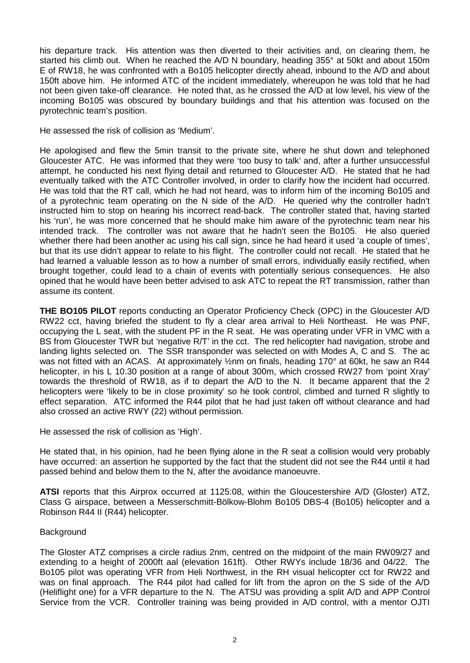his departure track. His attention was then diverted to their activities and, on clearing them, he started his climb out. When he reached the A/D N boundary, heading 355° at 50kt and about 150m E of RW18, he was confronted with a Bo105 helicopter directly ahead, inbound to the A/D and about 150ft above him. He informed ATC of the incident immediately, whereupon he was told that he had not been given take-off clearance. He noted that, as he crossed the A/D at low level, his view of the incoming Bo105 was obscured by boundary buildings and that his attention was focused on the pyrotechnic team's position.

He assessed the risk of collision as 'Medium'.

He apologised and flew the 5min transit to the private site, where he shut down and telephoned Gloucester ATC. He was informed that they were 'too busy to talk' and, after a further unsuccessful attempt, he conducted his next flying detail and returned to Gloucester A/D. He stated that he had eventually talked with the ATC Controller involved, in order to clarify how the incident had occurred. He was told that the RT call, which he had not heard, was to inform him of the incoming Bo105 and of a pyrotechnic team operating on the N side of the A/D. He queried why the controller hadn't instructed him to stop on hearing his incorrect read-back. The controller stated that, having started his 'run', he was more concerned that he should make him aware of the pyrotechnic team near his intended track. The controller was not aware that he hadn't seen the Bo105. He also queried whether there had been another ac using his call sign, since he had heard it used 'a couple of times', but that its use didn't appear to relate to his flight. The controller could not recall. He stated that he had learned a valuable lesson as to how a number of small errors, individually easily rectified, when brought together, could lead to a chain of events with potentially serious consequences. He also opined that he would have been better advised to ask ATC to repeat the RT transmission, rather than assume its content.

**THE BO105 PILOT** reports conducting an Operator Proficiency Check (OPC) in the Gloucester A/D RW22 cct, having briefed the student to fly a clear area arrival to Heli Northeast. He was PNF, occupying the L seat, with the student PF in the R seat. He was operating under VFR in VMC with a BS from Gloucester TWR but 'negative R/T' in the cct. The red helicopter had navigation, strobe and landing lights selected on. The SSR transponder was selected on with Modes A, C and S. The ac was not fitted with an ACAS. At approximately  $\frac{1}{2}$ nm on finals, heading 170° at 60kt, he saw an R44 helicopter, in his L 10.30 position at a range of about 300m, which crossed RW27 from 'point Xray' towards the threshold of RW18, as if to depart the A/D to the N. It became apparent that the 2 helicopters were 'likely to be in close proximity' so he took control, climbed and turned R slightly to effect separation. ATC informed the R44 pilot that he had just taken off without clearance and had also crossed an active RWY (22) without permission.

He assessed the risk of collision as 'High'.

He stated that, in his opinion, had he been flying alone in the R seat a collision would very probably have occurred: an assertion he supported by the fact that the student did not see the R44 until it had passed behind and below them to the N, after the avoidance manoeuvre.

**ATSI** reports that this Airprox occurred at 1125:08, within the Gloucestershire A/D (Gloster) ATZ, Class G airspace, between a Messerschmitt-Bölkow-Blohm Bo105 DBS-4 (Bo105) helicopter and a Robinson R44 II (R44) helicopter.

### **Background**

The Gloster ATZ comprises a circle radius 2nm, centred on the midpoint of the main RW09/27 and extending to a height of 2000ft aal (elevation 161ft). Other RWYs include 18/36 and 04/22. The Bo105 pilot was operating VFR from Heli Northwest, in the RH visual helicopter cct for RW22 and was on final approach. The R44 pilot had called for lift from the apron on the S side of the A/D (Heliflight one) for a VFR departure to the N. The ATSU was providing a split A/D and APP Control Service from the VCR. Controller training was being provided in A/D control, with a mentor OJTI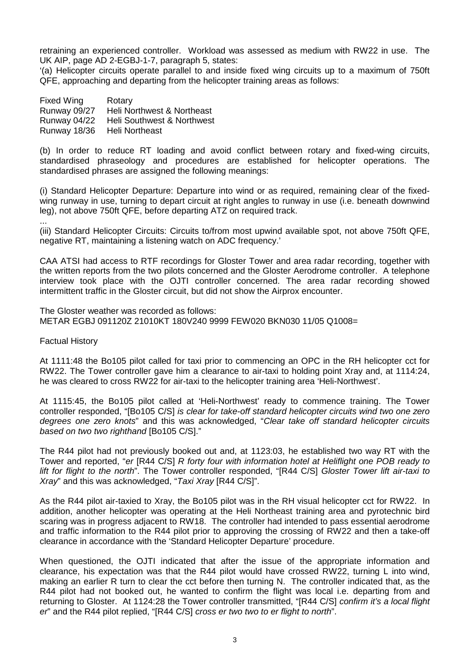retraining an experienced controller. Workload was assessed as medium with RW22 in use. The UK AIP, page AD 2-EGBJ-1-7, paragraph 5, states:

'(a) Helicopter circuits operate parallel to and inside fixed wing circuits up to a maximum of 750ft QFE, approaching and departing from the helicopter training areas as follows:

| Fixed Wing   | Rotary                     |
|--------------|----------------------------|
| Runway 09/27 | Heli Northwest & Northeast |
| Runway 04/22 | Heli Southwest & Northwest |
| Runway 18/36 | Heli Northeast             |

(b) In order to reduce RT loading and avoid conflict between rotary and fixed-wing circuits, standardised phraseology and procedures are established for helicopter operations. The standardised phrases are assigned the following meanings:

(i) Standard Helicopter Departure: Departure into wind or as required, remaining clear of the fixedwing runway in use, turning to depart circuit at right angles to runway in use (i.e. beneath downwind leg), not above 750ft QFE, before departing ATZ on required track.

... (iii) Standard Helicopter Circuits: Circuits to/from most upwind available spot, not above 750ft QFE, negative RT, maintaining a listening watch on ADC frequency.'

CAA ATSI had access to RTF recordings for Gloster Tower and area radar recording, together with the written reports from the two pilots concerned and the Gloster Aerodrome controller. A telephone interview took place with the OJTI controller concerned. The area radar recording showed intermittent traffic in the Gloster circuit, but did not show the Airprox encounter.

The Gloster weather was recorded as follows: METAR EGBJ 091120Z 21010KT 180V240 9999 FEW020 BKN030 11/05 Q1008=

Factual History

At 1111:48 the Bo105 pilot called for taxi prior to commencing an OPC in the RH helicopter cct for RW22. The Tower controller gave him a clearance to air-taxi to holding point Xray and, at 1114:24, he was cleared to cross RW22 for air-taxi to the helicopter training area 'Heli-Northwest'.

At 1115:45, the Bo105 pilot called at 'Heli-Northwest' ready to commence training. The Tower controller responded, "[Bo105 C/S] *is clear for take-off standard helicopter circuits wind two one zero degrees one zero knots*" and this was acknowledged, "*Clear take off standard helicopter circuits based on two two righthand* [Bo105 C/S]."

The R44 pilot had not previously booked out and, at 1123:03, he established two way RT with the Tower and reported, "*er* [R44 C/S] *R forty four with information hotel at Heliflight one POB ready to lift for flight to the north*". The Tower controller responded, "[R44 C/S] *Gloster Tower lift air-taxi to Xray*" and this was acknowledged, "*Taxi Xray* [R44 C/S]".

As the R44 pilot air-taxied to Xray, the Bo105 pilot was in the RH visual helicopter cct for RW22. In addition, another helicopter was operating at the Heli Northeast training area and pyrotechnic bird scaring was in progress adjacent to RW18. The controller had intended to pass essential aerodrome and traffic information to the R44 pilot prior to approving the crossing of RW22 and then a take-off clearance in accordance with the 'Standard Helicopter Departure' procedure.

When questioned, the OJTI indicated that after the issue of the appropriate information and clearance, his expectation was that the R44 pilot would have crossed RW22, turning L into wind, making an earlier R turn to clear the cct before then turning N. The controller indicated that, as the R44 pilot had not booked out, he wanted to confirm the flight was local i.e. departing from and returning to Gloster. At 1124:28 the Tower controller transmitted, "[R44 C/S] *confirm it's a local flight er*" and the R44 pilot replied, "[R44 C/S] *cross er two two to er flight to north*".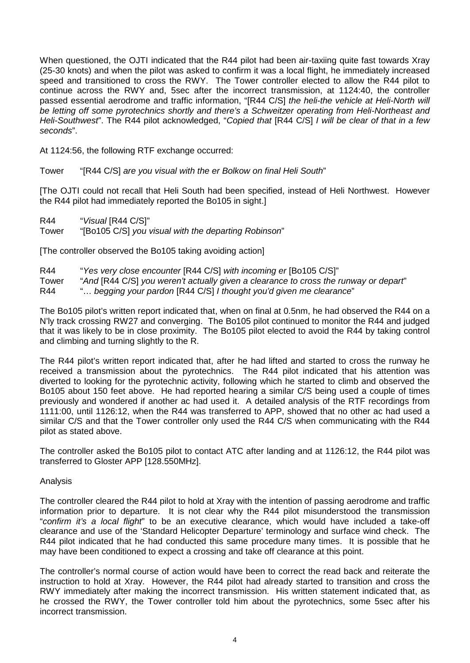When questioned, the OJTI indicated that the R44 pilot had been air-taxiing quite fast towards Xray (25-30 knots) and when the pilot was asked to confirm it was a local flight, he immediately increased speed and transitioned to cross the RWY. The Tower controller elected to allow the R44 pilot to continue across the RWY and, 5sec after the incorrect transmission, at 1124:40, the controller passed essential aerodrome and traffic information, "[R44 C/S] *the heli-the vehicle at Heli-North will be letting off some pyrotechnics shortly and there's a Schweitzer operating from Heli-Northeast and Heli-Southwest*". The R44 pilot acknowledged, "*Copied that* [R44 C/S] *I will be clear of that in a few seconds*".

At 1124:56, the following RTF exchange occurred:

Tower "[R44 C/S] *are you visual with the er Bolkow on final Heli South*"

[The OJTI could not recall that Heli South had been specified, instead of Heli Northwest. However the R44 pilot had immediately reported the Bo105 in sight.]

R44 "*Visual* IR44 C/SI" Tower "[Bo105 C/S] *you visual with the departing Robinson*"

[The controller observed the Bo105 taking avoiding action]

| R44   | "Yes very close encounter [R44 C/S] with incoming er [Bo105 C/S]"                    |
|-------|--------------------------------------------------------------------------------------|
| Tower | "And [R44 C/S] you weren't actually given a clearance to cross the runway or depart" |
| R44   | " begging your pardon [R44 C/S] I thought you'd given me clearance"                  |

The Bo105 pilot's written report indicated that, when on final at 0.5nm, he had observed the R44 on a N'ly track crossing RW27 and converging. The Bo105 pilot continued to monitor the R44 and judged that it was likely to be in close proximity. The Bo105 pilot elected to avoid the R44 by taking control and climbing and turning slightly to the R.

The R44 pilot's written report indicated that, after he had lifted and started to cross the runway he received a transmission about the pyrotechnics. The R44 pilot indicated that his attention was diverted to looking for the pyrotechnic activity, following which he started to climb and observed the Bo105 about 150 feet above. He had reported hearing a similar C/S being used a couple of times previously and wondered if another ac had used it. A detailed analysis of the RTF recordings from 1111:00, until 1126:12, when the R44 was transferred to APP, showed that no other ac had used a similar C/S and that the Tower controller only used the R44 C/S when communicating with the R44 pilot as stated above.

The controller asked the Bo105 pilot to contact ATC after landing and at 1126:12, the R44 pilot was transferred to Gloster APP [128.550MHz].

#### Analysis

The controller cleared the R44 pilot to hold at Xray with the intention of passing aerodrome and traffic information prior to departure. It is not clear why the R44 pilot misunderstood the transmission "*confirm it's a local flight*" to be an executive clearance, which would have included a take-off clearance and use of the 'Standard Helicopter Departure' terminology and surface wind check. The R44 pilot indicated that he had conducted this same procedure many times. It is possible that he may have been conditioned to expect a crossing and take off clearance at this point.

The controller's normal course of action would have been to correct the read back and reiterate the instruction to hold at Xray. However, the R44 pilot had already started to transition and cross the RWY immediately after making the incorrect transmission. His written statement indicated that, as he crossed the RWY, the Tower controller told him about the pyrotechnics, some 5sec after his incorrect transmission.